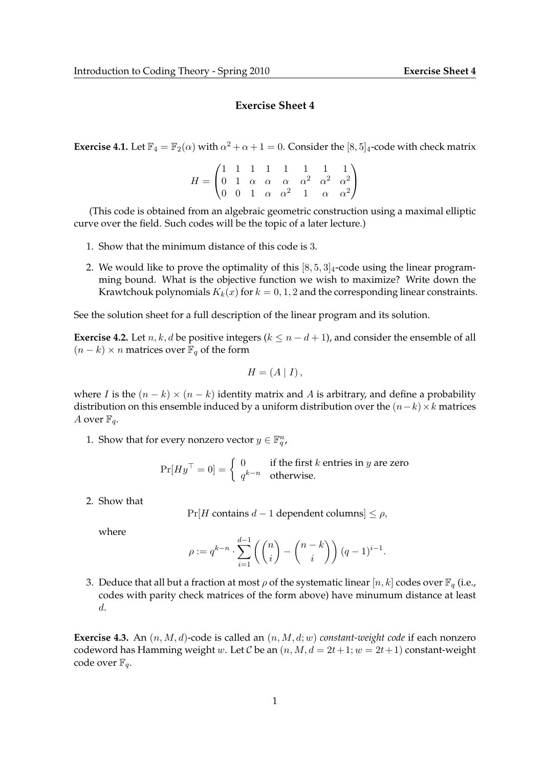## **Exercise Sheet 4**

**Exercise 4.1.** Let  $\mathbb{F}_4 = \mathbb{F}_2(\alpha)$  with  $\alpha^2 + \alpha + 1 = 0$ . Consider the [8, 5]<sub>4</sub>-code with check matrix

 $H =$  $\sqrt{ }$  $\mathcal{L}$ 1 1 1 1 1 1 1 1 0 1  $\alpha$   $\alpha$   $\alpha$   $\alpha^2$   $\alpha^2$   $\alpha^2$ 0 0 1  $\alpha$   $\alpha^2$  1  $\alpha$   $\alpha^2$  $\setminus$  $\overline{1}$ 

(This code is obtained from an algebraic geometric construction using a maximal elliptic curve over the field. Such codes will be the topic of a later lecture.)

- 1. Show that the minimum distance of this code is 3.
- 2. We would like to prove the optimality of this  $[8, 5, 3]_4$ -code using the linear programming bound. What is the objective function we wish to maximize? Write down the Krawtchouk polynomials  $K_k(x)$  for  $k = 0, 1, 2$  and the corresponding linear constraints.

See the solution sheet for a full description of the linear program and its solution.

**Exercise 4.2.** Let  $n, k, d$  be positive integers ( $k \leq n - d + 1$ ), and consider the ensemble of all  $(n - k) \times n$  matrices over  $\mathbb{F}_q$  of the form

$$
H = (A | I),
$$

where I is the  $(n - k) \times (n - k)$  identity matrix and A is arbitrary, and define a probability distribution on this ensemble induced by a uniform distribution over the  $(n-k)\times k$  matrices A over  $\mathbb{F}_q$ .

1. Show that for every nonzero vector  $y \in \mathbb{F}_q^n$ ,

 $\Pr[Hy^\top = 0] = \begin{cases} 0 & \text{if the first } k \text{ entries in } y \text{ are zero} \\ -k-n & \text{otherwise} \end{cases}$  $q^{k-n}$  otherwise.

2. Show that

 $Pr[H$  contains  $d-1$  dependent columns]  $\leq \rho$ ,

where

$$
\rho := q^{k-n} \cdot \sum_{i=1}^{d-1} \left( {n \choose i} - {n-k \choose i} \right) (q-1)^{i-1}.
$$

3. Deduce that all but a fraction at most  $\rho$  of the systematic linear  $[n, k]$  codes over  $\mathbb{F}_q$  (i.e., codes with parity check matrices of the form above) have minumum distance at least d.

**Exercise 4.3.** An  $(n, M, d)$ -code is called an  $(n, M, d; w)$  *constant-weight code* if each nonzero codeword has Hamming weight w. Let C be an  $(n, M, d = 2t + 1; w = 2t + 1)$  constant-weight code over  $\mathbb{F}_q$ .